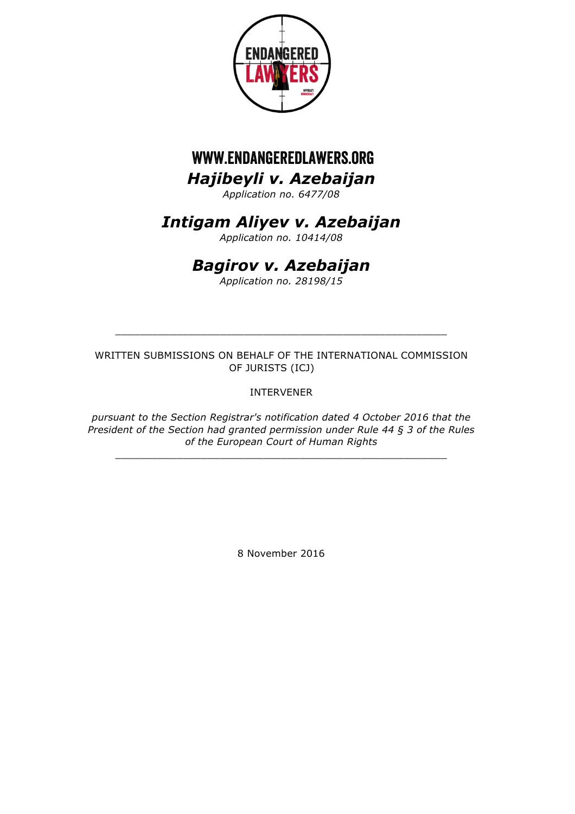

# *Hajibeyli v. Azebaijan* www.endangeredlawers.org

*Application no. 6477/08*

## *Intigam Aliyev v. Azebaijan*

*Application no. 10414/08*

# *Bagirov v. Azebaijan*

*Application no. 28198/15*

WRITTEN SUBMISSIONS ON BEHALF OF THE INTERNATIONAL COMMISSION OF JURISTS (ICJ)

\_\_\_\_\_\_\_\_\_\_\_\_\_\_\_\_\_\_\_\_\_\_\_\_\_\_\_\_\_\_\_\_\_\_\_\_\_\_\_\_\_\_\_\_\_\_\_\_\_\_\_\_\_\_

INTERVENER

*pursuant to the Section Registrar's notification dated 4 October 2016 that the President of the Section had granted permission under Rule 44 § 3 of the Rules of the European Court of Human Rights*

\_\_\_\_\_\_\_\_\_\_\_\_\_\_\_\_\_\_\_\_\_\_\_\_\_\_\_\_\_\_\_\_\_\_\_\_\_\_\_\_\_\_\_\_\_\_\_\_\_\_\_\_\_\_

8 November 2016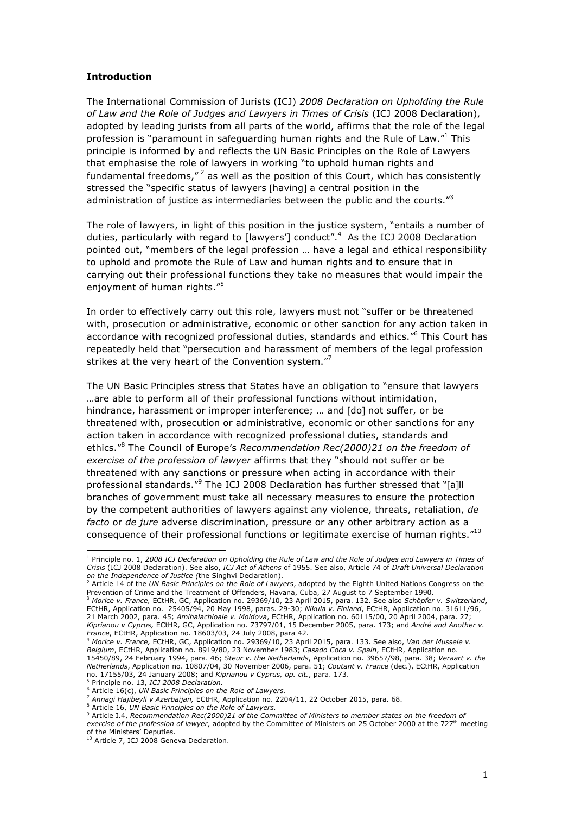#### **Introduction**

The International Commission of Jurists (ICJ) *2008 Declaration on Upholding the Rule of Law and the Role of Judges and Lawyers in Times of Crisis* (ICJ 2008 Declaration), adopted by leading jurists from all parts of the world, affirms that the role of the legal profession is "paramount in safeguarding human rights and the Rule of Law."1 This principle is informed by and reflects the UN Basic Principles on the Role of Lawyers that emphasise the role of lawyers in working "to uphold human rights and fundamental freedoms," $^2$  as well as the position of this Court, which has consistently stressed the "specific status of lawyers [having] a central position in the administration of justice as intermediaries between the public and the courts."<sup>3</sup>

The role of lawyers, in light of this position in the justice system, "entails a number of duties, particularly with regard to [lawyers'] conduct".<sup>4</sup> As the ICJ 2008 Declaration pointed out, "members of the legal profession … have a legal and ethical responsibility to uphold and promote the Rule of Law and human rights and to ensure that in carrying out their professional functions they take no measures that would impair the enjoyment of human rights."<sup>5</sup>

In order to effectively carry out this role, lawyers must not "suffer or be threatened with, prosecution or administrative, economic or other sanction for any action taken in accordance with recognized professional duties, standards and ethics."6 This Court has repeatedly held that "persecution and harassment of members of the legal profession strikes at the very heart of the Convention system."<sup>7</sup>

The UN Basic Principles stress that States have an obligation to "ensure that lawyers …are able to perform all of their professional functions without intimidation, hindrance, harassment or improper interference; ... and [do] not suffer, or be threatened with, prosecution or administrative, economic or other sanctions for any action taken in accordance with recognized professional duties, standards and ethics."<sup>8</sup> The Council of Europe's *Recommendation Rec(2000)21 on the freedom of exercise of the profession of lawyer* affirms that they "should not suffer or be threatened with any sanctions or pressure when acting in accordance with their professional standards."<sup>9</sup> The ICJ 2008 Declaration has further stressed that "[a]ll branches of government must take all necessary measures to ensure the protection by the competent authorities of lawyers against any violence, threats, retaliation, *de facto* or *de jure* adverse discrimination, pressure or any other arbitrary action as a consequence of their professional functions or legitimate exercise of human rights."<sup>10</sup>

<sup>8</sup> Article 16, *UN Basic Principles on the Role of Lawyers.*

 <sup>1</sup> Principle no. 1, *2008 ICJ Declaration on Upholding the Rule of Law and the Role of Judges and Lawyers in Times of Crisis* (ICJ 2008 Declaration). See also, *ICJ Act of Athens* of 1955. See also, Article 74 of *Draft Universal Declaration on the Independence of Justice (t*he Singhvi Declaration).<br><sup>2</sup> Article 14 of the *UN Basic Principles on the Role of Lawyers,* adopted by the Eighth United Nations Congress on the

Prevention of Crime and the Treatment of Offenders, Havana, Cuba, 27 August to 7 September 1990.<br><sup>3</sup> *Morice v. France,* ECtHR, GC, Application no. 29369/10, 23 April 2015, para. 132. See also *Schöpfer v. Switzerland*,

ECtHR, Application no. 25405/94, 20 May 1998, paras. 29-30; *Nikula v. Finland*, ECtHR, Application no. 31611/96, 21 March 2002, para. 45; *Amihalachioaie v. Moldova*, ECtHR, Application no. 60115/00, 20 April 2004, para. 27; *Kiprianou v Cyprus,* ECtHR, GC, Application no. 73797/01, 15 December 2005, para. 173; and *André and Another v. France*, ECtHR, Application no. 18603/03, 24 July 2008, para 42.

<sup>4</sup> *Morice v. France,* ECtHR, GC, Application no. 29369/10, 23 April 2015, para. 133. See also, *Van der Mussele v. Belgium*, ECtHR, Application no. 8919/80, 23 November 1983; *Casado Coca v. Spain*, ECtHR, Application no. 15450/89, 24 February 1994, para. 46; *Steur v. the Netherlands*, Application no. 39657/98, para. 38; *Veraart v. the Netherlands*, Application no. 10807/04, 30 November 2006, para. 51; *Coutant v. France* (dec.), ECtHR, Application no. 17155/03, 24 January 2008; and *Kiprianou v Cyprus, op. cit.*, para. 173.<br><sup>5</sup> Principle no. 13, *ICJ 2008 Declaration*.

<sup>6</sup> Article 16(c), *UN Basic Principles on the Role of Lawyers.*

<sup>7</sup> *Annagi Hajibeyli v Azerbaijan,* ECtHR, Application no. 2204/11, 22 October 2015, para. 68.

<sup>9</sup> Article I.4, *Recommendation Rec(2000)21 of the Committee of Ministers to member states on the freedom of exercise of the profession of lawyer*, adopted by the Committee of Ministers on 25 October 2000 at the 727<sup>th</sup> meeting of the Ministers' Deputies.<br><sup>10</sup> Article 7, ICJ 2008 Geneva Declaration.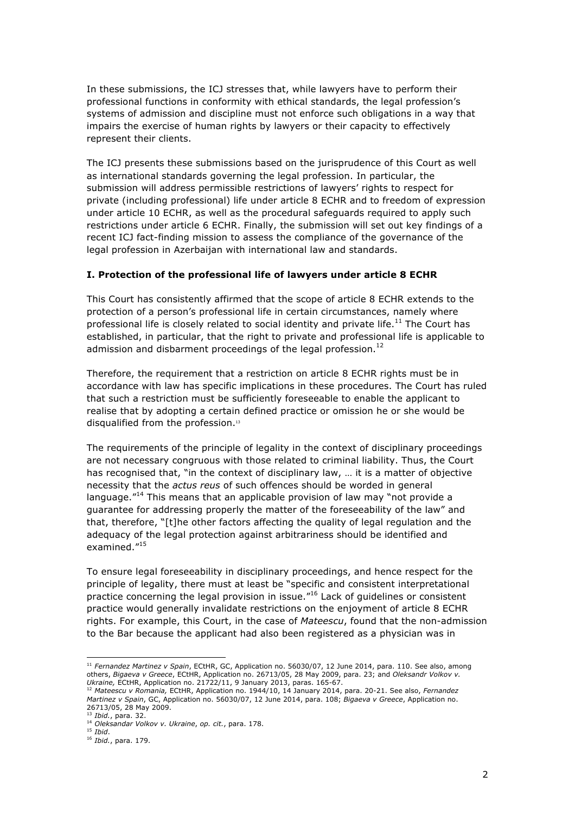In these submissions, the ICJ stresses that, while lawyers have to perform their professional functions in conformity with ethical standards, the legal profession's systems of admission and discipline must not enforce such obligations in a way that impairs the exercise of human rights by lawyers or their capacity to effectively represent their clients.

The ICJ presents these submissions based on the jurisprudence of this Court as well as international standards governing the legal profession. In particular, the submission will address permissible restrictions of lawyers' rights to respect for private (including professional) life under article 8 ECHR and to freedom of expression under article 10 ECHR, as well as the procedural safeguards required to apply such restrictions under article 6 ECHR. Finally, the submission will set out key findings of a recent ICJ fact-finding mission to assess the compliance of the governance of the legal profession in Azerbaijan with international law and standards.

#### **I. Protection of the professional life of lawyers under article 8 ECHR**

This Court has consistently affirmed that the scope of article 8 ECHR extends to the protection of a person's professional life in certain circumstances, namely where professional life is closely related to social identity and private life.<sup>11</sup> The Court has established, in particular, that the right to private and professional life is applicable to admission and disbarment proceedings of the legal profession.<sup>12</sup>

Therefore, the requirement that a restriction on article 8 ECHR rights must be in accordance with law has specific implications in these procedures. The Court has ruled that such a restriction must be sufficiently foreseeable to enable the applicant to realise that by adopting a certain defined practice or omission he or she would be disqualified from the profession.<sup>13</sup>

The requirements of the principle of legality in the context of disciplinary proceedings are not necessary congruous with those related to criminal liability. Thus, the Court has recognised that, "in the context of disciplinary law, ... it is a matter of objective necessity that the *actus reus* of such offences should be worded in general language."<sup>14</sup> This means that an applicable provision of law may "not provide a guarantee for addressing properly the matter of the foreseeability of the law" and that, therefore, "[t]he other factors affecting the quality of legal regulation and the adequacy of the legal protection against arbitrariness should be identified and examined."<sup>15</sup>

To ensure legal foreseeability in disciplinary proceedings, and hence respect for the principle of legality, there must at least be "specific and consistent interpretational practice concerning the legal provision in issue."<sup>16</sup> Lack of guidelines or consistent practice would generally invalidate restrictions on the enjoyment of article 8 ECHR rights. For example, this Court, in the case of *Mateescu*, found that the non-admission to the Bar because the applicant had also been registered as a physician was in

 <sup>11</sup> *Fernandez Martinez v Spain*, ECtHR, GC, Application no. 56030/07, 12 June 2014, para. 110. See also, among others, *Bigaeva v Greece*, ECtHR, Application no. 26713/05, 28 May 2009, para. 23; and *Oleksandr Volkov v.* 

*Ukraine,* ECtHR, Application no. 21722/11, 9 January 2013, paras. 165-67. <sup>12</sup> *Mateescu v Romania,* ECtHR, Application no. 1944/10, 14 January 2014, para. 20-21. See also, *Fernandez Martinez v Spain*, GC, Application no. 56030/07, 12 June 2014, para. 108; *Bigaeva v Greece*, Application no. 26713/05, 28 May 2009.

<sup>13</sup> *Ibid.*, para. 32.

<sup>14</sup> *Oleksandar Volkov v. Ukraine*, *op. cit.*, para. 178.

<sup>15</sup> *Ibid*.

<sup>16</sup> *Ibid.*, para. 179.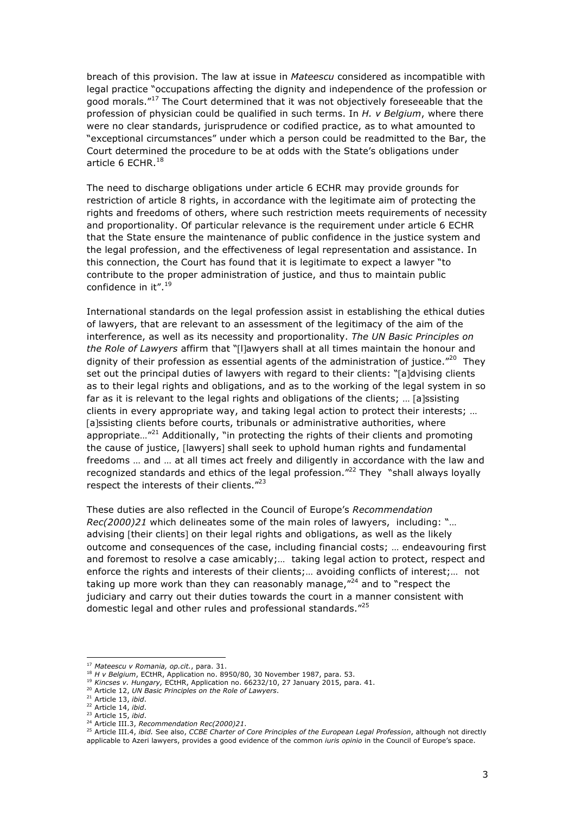breach of this provision. The law at issue in *Mateescu* considered as incompatible with legal practice "occupations affecting the dignity and independence of the profession or good morals."<sup>17</sup> The Court determined that it was not objectively foreseeable that the profession of physician could be qualified in such terms. In *H. v Belgium*, where there were no clear standards, jurisprudence or codified practice, as to what amounted to "exceptional circumstances" under which a person could be readmitted to the Bar, the Court determined the procedure to be at odds with the State's obligations under article 6 ECHR. $^{18}$ 

The need to discharge obligations under article 6 ECHR may provide grounds for restriction of article 8 rights, in accordance with the legitimate aim of protecting the rights and freedoms of others, where such restriction meets requirements of necessity and proportionality. Of particular relevance is the requirement under article 6 ECHR that the State ensure the maintenance of public confidence in the justice system and the legal profession, and the effectiveness of legal representation and assistance. In this connection, the Court has found that it is legitimate to expect a lawyer "to contribute to the proper administration of justice, and thus to maintain public confidence in it".<sup>19</sup>

International standards on the legal profession assist in establishing the ethical duties of lawyers, that are relevant to an assessment of the legitimacy of the aim of the interference, as well as its necessity and proportionality. *The UN Basic Principles on the Role of Lawyers* affirm that "[l]awyers shall at all times maintain the honour and dignity of their profession as essential agents of the administration of justice. $"^{20}$  They set out the principal duties of lawyers with regard to their clients: "[a]dvising clients as to their legal rights and obligations, and as to the working of the legal system in so far as it is relevant to the legal rights and obligations of the clients; … [a]ssisting clients in every appropriate way, and taking legal action to protect their interests; … [a]ssisting clients before courts, tribunals or administrative authorities, where appropriate... $"^{21}$  Additionally, "in protecting the rights of their clients and promoting the cause of justice, [lawyers] shall seek to uphold human rights and fundamental freedoms … and … at all times act freely and diligently in accordance with the law and recognized standards and ethics of the legal profession. $12^2$  They "shall always loyally respect the interests of their clients."<sup>23</sup>

These duties are also reflected in the Council of Europe's *Recommendation Rec(2000)21* which delineates some of the main roles of lawyers, including: "… advising [their clients] on their legal rights and obligations, as well as the likely outcome and consequences of the case, including financial costs; … endeavouring first and foremost to resolve a case amicably;… taking legal action to protect, respect and enforce the rights and interests of their clients;… avoiding conflicts of interest;… not taking up more work than they can reasonably manage, $^{\prime\prime 24}$  and to "respect the judiciary and carry out their duties towards the court in a manner consistent with domestic legal and other rules and professional standards."<sup>25</sup>

 <sup>17</sup> *Mateescu v Romania, op.cit.*, para. 31.

<sup>18</sup> *H v Belgium*, ECtHR, Application no. 8950/80, 30 November 1987, para. 53.

<sup>19</sup> *Kincses v. Hungary,* ECtHR, Application no. 66232/10, 27 January 2015, para. 41.

<sup>20</sup> Article 12, *UN Basic Principles on the Role of Lawyers*.

<sup>21</sup> Article 13, *ibid*.

<sup>22</sup> Article 14, *ibid*.

<sup>23</sup> Article 15, *ibid*.

<sup>24</sup> Article III.3, *Recommendation Rec(2000)21*.

<sup>25</sup> Article III.4, *ibid.* See also, *CCBE Charter of Core Principles of the European Legal Profession*, although not directly applicable to Azeri lawyers, provides a good evidence of the common *iuris opinio* in the Council of Europe's space.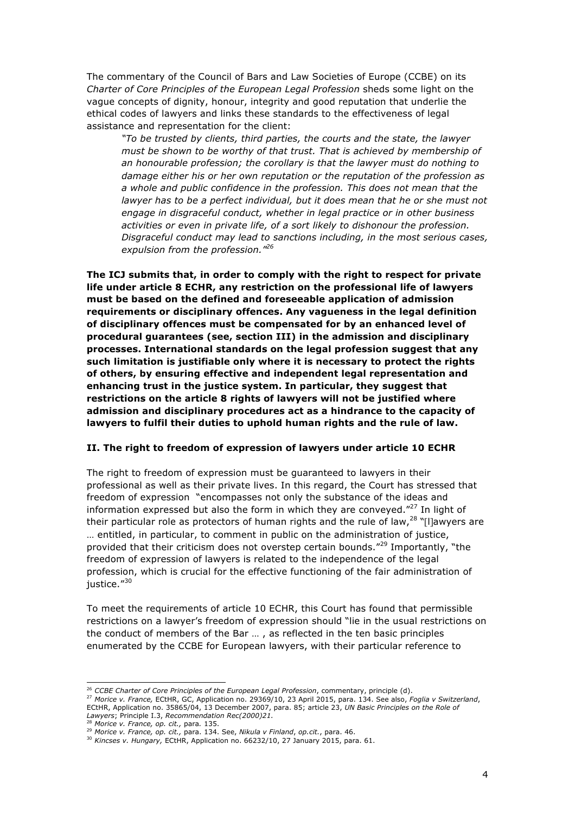The commentary of the Council of Bars and Law Societies of Europe (CCBE) on its *Charter of Core Principles of the European Legal Profession* sheds some light on the vague concepts of dignity, honour, integrity and good reputation that underlie the ethical codes of lawyers and links these standards to the effectiveness of legal assistance and representation for the client:

*"To be trusted by clients, third parties, the courts and the state, the lawyer must be shown to be worthy of that trust. That is achieved by membership of an honourable profession; the corollary is that the lawyer must do nothing to damage either his or her own reputation or the reputation of the profession as a whole and public confidence in the profession. This does not mean that the lawyer has to be a perfect individual, but it does mean that he or she must not engage in disgraceful conduct, whether in legal practice or in other business activities or even in private life, of a sort likely to dishonour the profession. Disgraceful conduct may lead to sanctions including, in the most serious cases, expulsion from the profession." 26*

**The ICJ submits that, in order to comply with the right to respect for private life under article 8 ECHR, any restriction on the professional life of lawyers must be based on the defined and foreseeable application of admission requirements or disciplinary offences. Any vagueness in the legal definition of disciplinary offences must be compensated for by an enhanced level of procedural guarantees (see, section III) in the admission and disciplinary processes. International standards on the legal profession suggest that any such limitation is justifiable only where it is necessary to protect the rights of others, by ensuring effective and independent legal representation and enhancing trust in the justice system. In particular, they suggest that restrictions on the article 8 rights of lawyers will not be justified where admission and disciplinary procedures act as a hindrance to the capacity of lawyers to fulfil their duties to uphold human rights and the rule of law.** 

#### **II. The right to freedom of expression of lawyers under article 10 ECHR**

The right to freedom of expression must be guaranteed to lawyers in their professional as well as their private lives. In this regard, the Court has stressed that freedom of expression "encompasses not only the substance of the ideas and information expressed but also the form in which they are conveyed. $"^{27}$  In light of their particular role as protectors of human rights and the rule of law,<sup>28</sup> "[I]awyers are … entitled, in particular, to comment in public on the administration of justice, provided that their criticism does not overstep certain bounds."<sup>29</sup> Importantly, "the freedom of expression of lawyers is related to the independence of the legal profession, which is crucial for the effective functioning of the fair administration of justice."30

To meet the requirements of article 10 ECHR, this Court has found that permissible restrictions on a lawyer's freedom of expression should "lie in the usual restrictions on the conduct of members of the Bar … , as reflected in the ten basic principles enumerated by the CCBE for European lawyers, with their particular reference to

 <sup>26</sup> *CCBE Charter of Core Principles of the European Legal Profession*, commentary, principle (d).

<sup>27</sup> *Morice v. France,* ECtHR, GC, Application no. 29369/10, 23 April 2015, para. 134. See also, *Foglia v Switzerland*, ECtHR, Application no. 35865/04, 13 December 2007, para. 85; article 23, *UN Basic Principles on the Role of Lawyers*; Principle I.3, *Recommendation Rec(2000)21.*

<sup>28</sup> *Morice v. France, op. cit.,* para*.* 135.

<sup>29</sup> *Morice v. France, op. cit.,* para. 134. See, *Nikula v Finland*, *op.cit.*, para. 46.

<sup>&</sup>lt;sup>30</sup> Kincses v. Hungary, ECtHR, Application no. 66232/10, 27 January 2015, para. 61.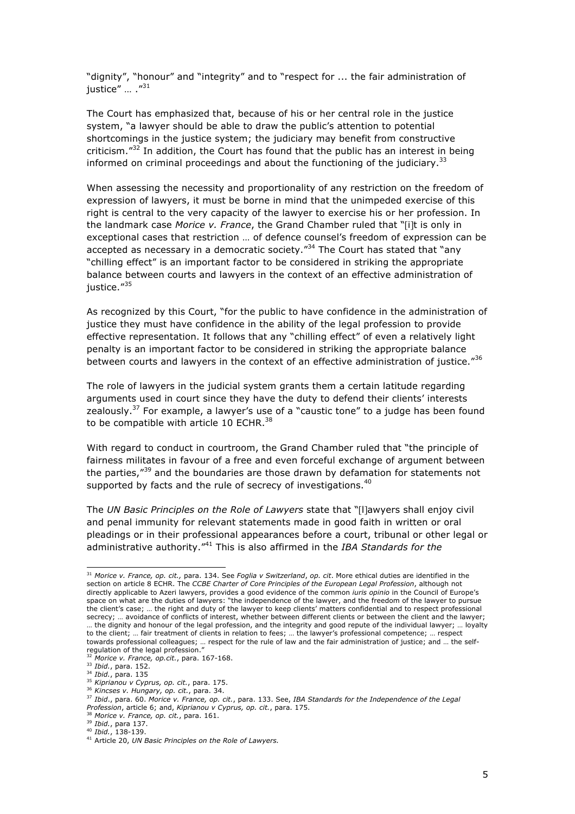"dignity", "honour" and "integrity" and to "respect for ... the fair administration of justice" ... ."<sup>31</sup>

The Court has emphasized that, because of his or her central role in the justice system, "a lawyer should be able to draw the public's attention to potential shortcomings in the justice system; the judiciary may benefit from constructive criticism."<sup>32</sup> In addition, the Court has found that the public has an interest in being informed on criminal proceedings and about the functioning of the judiciary.<sup>33</sup>

When assessing the necessity and proportionality of any restriction on the freedom of expression of lawyers, it must be borne in mind that the unimpeded exercise of this right is central to the very capacity of the lawyer to exercise his or her profession. In the landmark case *Morice v. France*, the Grand Chamber ruled that "[i]t is only in exceptional cases that restriction … of defence counsel's freedom of expression can be accepted as necessary in a democratic society."<sup>34</sup> The Court has stated that "any "chilling effect" is an important factor to be considered in striking the appropriate balance between courts and lawyers in the context of an effective administration of justice."<sup>35</sup>

As recognized by this Court, "for the public to have confidence in the administration of justice they must have confidence in the ability of the legal profession to provide effective representation. It follows that any "chilling effect" of even a relatively light penalty is an important factor to be considered in striking the appropriate balance between courts and lawyers in the context of an effective administration of justice."36

The role of lawyers in the judicial system grants them a certain latitude regarding arguments used in court since they have the duty to defend their clients' interests zealously.<sup>37</sup> For example, a lawyer's use of a "caustic tone" to a judge has been found to be compatible with article 10 ECHR.<sup>38</sup>

With regard to conduct in courtroom, the Grand Chamber ruled that "the principle of fairness militates in favour of a free and even forceful exchange of argument between the parties,<sup>"39</sup> and the boundaries are those drawn by defamation for statements not supported by facts and the rule of secrecy of investigations.<sup>40</sup>

The *UN Basic Principles on the Role of Lawyers* state that "[l]awyers shall enjoy civil and penal immunity for relevant statements made in good faith in written or oral pleadings or in their professional appearances before a court, tribunal or other legal or administrative authority." <sup>41</sup> This is also affirmed in the *IBA Standards for the* 

 <sup>31</sup> *Morice v. France, op. cit.,* para. 134. See *Foglia v Switzerland*, *op. cit*. More ethical duties are identified in the section on article 8 ECHR. The *CCBE Charter of Core Principles of the European Legal Profession*, although not directly applicable to Azeri lawyers, provides a good evidence of the common *iuris opinio* in the Council of Europe's space on what are the duties of lawyers: "the independence of the lawyer, and the freedom of the lawyer to pursue the client's case; … the right and duty of the lawyer to keep clients' matters confidential and to respect professional secrecy; … avoidance of conflicts of interest, whether between different clients or between the client and the lawyer; … the dignity and honour of the legal profession, and the integrity and good repute of the individual lawyer; … loyalty to the client; … fair treatment of clients in relation to fees; … the lawyer's professional competence; … respect towards professional colleagues; … respect for the rule of law and the fair administration of justice; and … the selfregulation of the legal profession."

<sup>32</sup> *Morice v. France, op.cit.*, para. 167-168.

<sup>33</sup> *Ibid.*, para. 152.

<sup>34</sup> *Ibid.*, para. 135

<sup>35</sup> *Kiprianou v Cyprus, op. cit.*, para. 175.

<sup>36</sup> *Kincses v. Hungary, op. cit.*, para. 34.

<sup>37</sup> *Ibid*., para. 60. *Morice v. France, op. cit.*, para. 133. See, *IBA Standards for the Independence of the Legal Profession*, article 6; and, *Kiprianou v Cyprus, op. cit.*, para. 175.

<sup>38</sup> *Morice v. France, op. cit.*, para. 161.

<sup>39</sup> *Ibid.*, para 137.

<sup>40</sup> *Ibid.*, 138-139.

<sup>41</sup> Article 20, *UN Basic Principles on the Role of Lawyers.*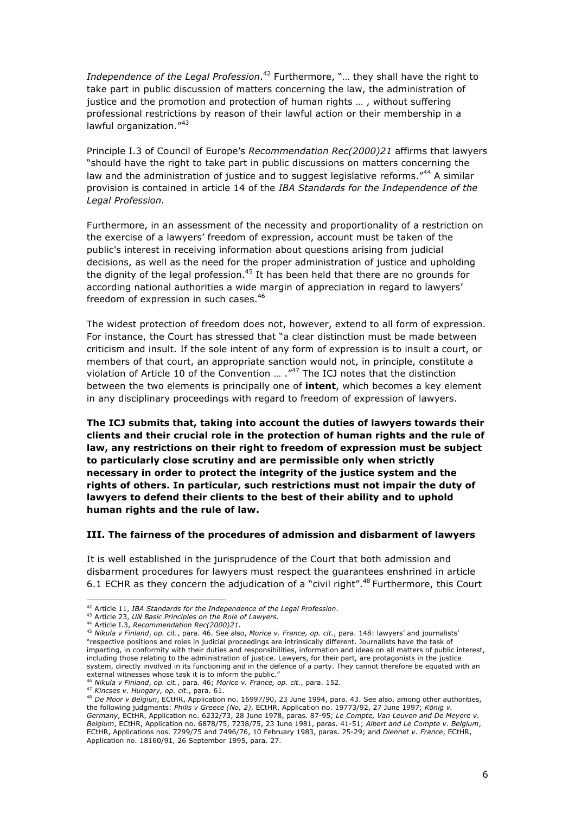Independence of the Legal Profession.<sup>42</sup> Furthermore, "... they shall have the right to take part in public discussion of matters concerning the law, the administration of justice and the promotion and protection of human rights … , without suffering professional restrictions by reason of their lawful action or their membership in a lawful organization."<sup>43</sup>

Principle I.3 of Council of Europe's *Recommendation Rec(2000)21* affirms that lawyers "should have the right to take part in public discussions on matters concerning the law and the administration of justice and to suggest legislative reforms."<sup>44</sup> A similar provision is contained in article 14 of the *IBA Standards for the Independence of the Legal Profession.*

Furthermore, in an assessment of the necessity and proportionality of a restriction on the exercise of a lawyers' freedom of expression, account must be taken of the public's interest in receiving information about questions arising from judicial decisions, as well as the need for the proper administration of justice and upholding the dignity of the legal profession.<sup>45</sup> It has been held that there are no grounds for according national authorities a wide margin of appreciation in regard to lawyers' freedom of expression in such cases.<sup>46</sup>

The widest protection of freedom does not, however, extend to all form of expression. For instance, the Court has stressed that "a clear distinction must be made between criticism and insult. If the sole intent of any form of expression is to insult a court, or members of that court, an appropriate sanction would not, in principle, constitute a violation of Article 10 of the Convention … ." <sup>47</sup> The ICJ notes that the distinction between the two elements is principally one of **intent**, which becomes a key element in any disciplinary proceedings with regard to freedom of expression of lawyers.

**The ICJ submits that, taking into account the duties of lawyers towards their clients and their crucial role in the protection of human rights and the rule of law, any restrictions on their right to freedom of expression must be subject to particularly close scrutiny and are permissible only when strictly necessary in order to protect the integrity of the justice system and the rights of others. In particular, such restrictions must not impair the duty of lawyers to defend their clients to the best of their ability and to uphold human rights and the rule of law.**

#### **III. The fairness of the procedures of admission and disbarment of lawyers**

It is well established in the jurisprudence of the Court that both admission and disbarment procedures for lawyers must respect the guarantees enshrined in article 6.1 ECHR as they concern the adjudication of a "civil right".<sup>48</sup> Furthermore, this Court

 <sup>42</sup> Article 11, *IBA Standards for the Independence of the Legal Profession*.

<sup>43</sup> Article 23, *UN Basic Principles on the Role of Lawyers.*

<sup>44</sup> Article I.3, *Recommendation Rec(2000)21*.

<sup>45</sup> *Nikula v Finland*, *op. cit.*, para. 46. See also, *Morice v. France, op. cit.*, para. 148: lawyers' and journalists' "respective positions and roles in judicial proceedings are intrinsically different. Journalists have the task of imparting, in conformity with their duties and responsibilities, information and ideas on all matters of public interest, including those relating to the administration of justice. Lawyers, for their part, are protagonists in the justice system, directly involved in its functioning and in the defence of a party. They cannot therefore be equated with an external witnesses whose task it is to inform the public.

<sup>46</sup> *Nikula v Finland*, *op. cit.*, para. 46; *Morice v. France, op. cit.*, para. 152.

<sup>47</sup> *Kincses v. Hungary, op. cit.*, para. 61.

<sup>48</sup> *De Moor v Belgiun*, ECtHR, Application no. 16997/90, 23 June 1994, para. 43. See also, among other authorities, the following judgments: *Philis v Greece (No, 2)*, ECtHR, Application no. 19773/92, 27 June 1997; *König v. Germany*, ECtHR, Application no. 6232/73, 28 June 1978, paras. 87-95; *Le Compte, Van Leuven and De Meyere v. Belgium*, ECtHR, Application no. 6878/75, 7238/75, 23 June 1981, paras. 41-51; *Albert and Le Compte v. Belgium*, ECtHR, Applications nos. 7299/75 and 7496/76, 10 February 1983, paras. 25-29; and *Diennet v. France*, ECtHR, Application no. 18160/91, 26 September 1995, para. 27.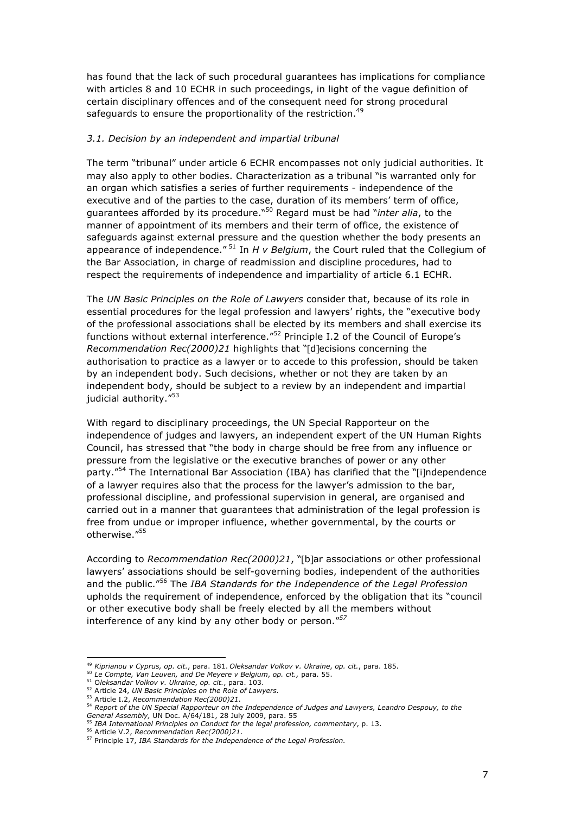has found that the lack of such procedural guarantees has implications for compliance with articles 8 and 10 ECHR in such proceedings, in light of the vague definition of certain disciplinary offences and of the consequent need for strong procedural safeguards to ensure the proportionality of the restriction.<sup>49</sup>

#### *3.1. Decision by an independent and impartial tribunal*

The term "tribunal" under article 6 ECHR encompasses not only judicial authorities. It may also apply to other bodies. Characterization as a tribunal "is warranted only for an organ which satisfies a series of further requirements - independence of the executive and of the parties to the case, duration of its members' term of office, guarantees afforded by its procedure." <sup>50</sup> Regard must be had "*inter alia*, to the manner of appointment of its members and their term of office, the existence of safeguards against external pressure and the question whether the body presents an appearance of independence." <sup>51</sup> In *H v Belgium*, the Court ruled that the Collegium of the Bar Association, in charge of readmission and discipline procedures, had to respect the requirements of independence and impartiality of article 6.1 ECHR.

The *UN Basic Principles on the Role of Lawyers* consider that, because of its role in essential procedures for the legal profession and lawyers' rights, the "executive body of the professional associations shall be elected by its members and shall exercise its functions without external interference.<sup>"52</sup> Principle I.2 of the Council of Europe's *Recommendation Rec(2000)21* highlights that "[d]ecisions concerning the authorisation to practice as a lawyer or to accede to this profession, should be taken by an independent body. Such decisions, whether or not they are taken by an independent body, should be subject to a review by an independent and impartial judicial authority."<sup>53</sup>

With regard to disciplinary proceedings, the UN Special Rapporteur on the independence of judges and lawyers, an independent expert of the UN Human Rights Council, has stressed that "the body in charge should be free from any influence or pressure from the legislative or the executive branches of power or any other party."<sup>54</sup> The International Bar Association (IBA) has clarified that the "[i]ndependence of a lawyer requires also that the process for the lawyer's admission to the bar, professional discipline, and professional supervision in general, are organised and carried out in a manner that guarantees that administration of the legal profession is free from undue or improper influence, whether governmental, by the courts or otherwise."<sup>55</sup>

According to *Recommendation Rec(2000)21*, "[b]ar associations or other professional lawyers' associations should be self-governing bodies, independent of the authorities and the public." <sup>56</sup> The *IBA Standards for the Independence of the Legal Profession* upholds the requirement of independence, enforced by the obligation that its "council or other executive body shall be freely elected by all the members without interference of any kind by any other body or person."*<sup>57</sup>*

 <sup>49</sup> *Kiprianou v Cyprus, op. cit.*, para. 181. *Oleksandar Volkov v. Ukraine*, *op. cit.*, para. 185.

<sup>50</sup> *Le Compte, Van Leuven, and De Meyere v Belgium*, *op. cit.,* para. 55.

<sup>51</sup> O*leksandar Volkov v. Ukraine*, *op. cit.*, para. 103.

<sup>52</sup> Article 24, *UN Basic Principles on the Role of Lawyers.*

<sup>53</sup> Article I.2, *Recommendation Rec(2000)21*.

<sup>54</sup> *Report of the UN Special Rapporteur on the Independence of Judges and Lawyers, Leandro Despouy, to the General Assembly,* UN Doc. A/64/181, 28 July 2009, para. 55

<sup>55</sup> *IBA International Principles on Conduct for the legal profession, commentary*, p. 13.

<sup>56</sup> Article V.2, *Recommendation Rec(2000)21*.

<sup>57</sup> Principle 17, *IBA Standards for the Independence of the Legal Profession.*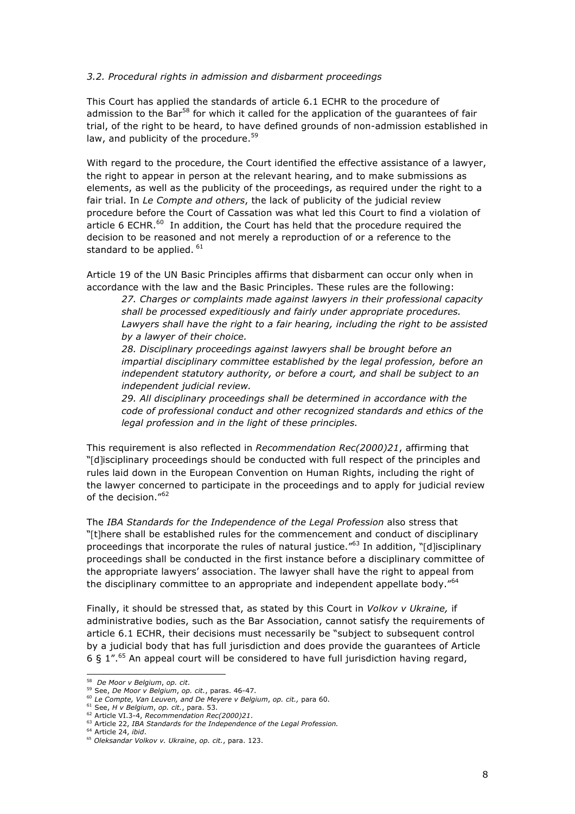#### *3.2. Procedural rights in admission and disbarment proceedings*

This Court has applied the standards of article 6.1 ECHR to the procedure of admission to the Bar<sup>58</sup> for which it called for the application of the quarantees of fair trial, of the right to be heard, to have defined grounds of non-admission established in law, and publicity of the procedure.<sup>59</sup>

With regard to the procedure, the Court identified the effective assistance of a lawyer, the right to appear in person at the relevant hearing, and to make submissions as elements, as well as the publicity of the proceedings, as required under the right to a fair trial. In *Le Compte and others*, the lack of publicity of the judicial review procedure before the Court of Cassation was what led this Court to find a violation of article 6 ECHR. $^{60}$  In addition, the Court has held that the procedure required the decision to be reasoned and not merely a reproduction of or a reference to the standard to be applied.  $61$ 

Article 19 of the UN Basic Principles affirms that disbarment can occur only when in accordance with the law and the Basic Principles. These rules are the following:

*27. Charges or complaints made against lawyers in their professional capacity shall be processed expeditiously and fairly under appropriate procedures. Lawyers shall have the right to a fair hearing, including the right to be assisted by a lawyer of their choice.*

*28. Disciplinary proceedings against lawyers shall be brought before an impartial disciplinary committee established by the legal profession, before an independent statutory authority, or before a court, and shall be subject to an independent judicial review.*

*29. All disciplinary proceedings shall be determined in accordance with the code of professional conduct and other recognized standards and ethics of the legal profession and in the light of these principles.*

This requirement is also reflected in *Recommendation Rec(2000)21*, affirming that "[d]isciplinary proceedings should be conducted with full respect of the principles and rules laid down in the European Convention on Human Rights, including the right of the lawyer concerned to participate in the proceedings and to apply for judicial review of the decision."<sup>62</sup>

The *IBA Standards for the Independence of the Legal Profession* also stress that "[t]here shall be established rules for the commencement and conduct of disciplinary proceedings that incorporate the rules of natural justice."<sup>63</sup> In addition, "[d]isciplinary proceedings shall be conducted in the first instance before a disciplinary committee of the appropriate lawyers' association. The lawyer shall have the right to appeal from the disciplinary committee to an appropriate and independent appellate body."<sup>64</sup>

Finally, it should be stressed that, as stated by this Court in *Volkov v Ukraine,* if administrative bodies, such as the Bar Association, cannot satisfy the requirements of article 6.1 ECHR, their decisions must necessarily be "subject to subsequent control by a judicial body that has full jurisdiction and does provide the guarantees of Article 6  $\S$  1".<sup>65</sup> An appeal court will be considered to have full jurisdiction having regard,

 <sup>58</sup> *De Moor v Belgium*, *op. cit*.

<sup>59</sup> See, *De Moor v Belgium*, *op. cit.*, paras. 46-47.

<sup>60</sup> *Le Compte, Van Leuven, and De Meyere v Belgium*, *op. cit.,* para 60.

<sup>61</sup> See, *H v Belgium*, *op. cit.*, para. 53.

<sup>62</sup> Article VI.3-4, *Recommendation Rec(2000)21*.

<sup>63</sup> Article 22, *IBA Standards for the Independence of the Legal Profession.*

<sup>64</sup> Article 24, *ibid*.

<sup>65</sup> *Oleksandar Volkov v. Ukraine*, *op. cit.*, para. 123.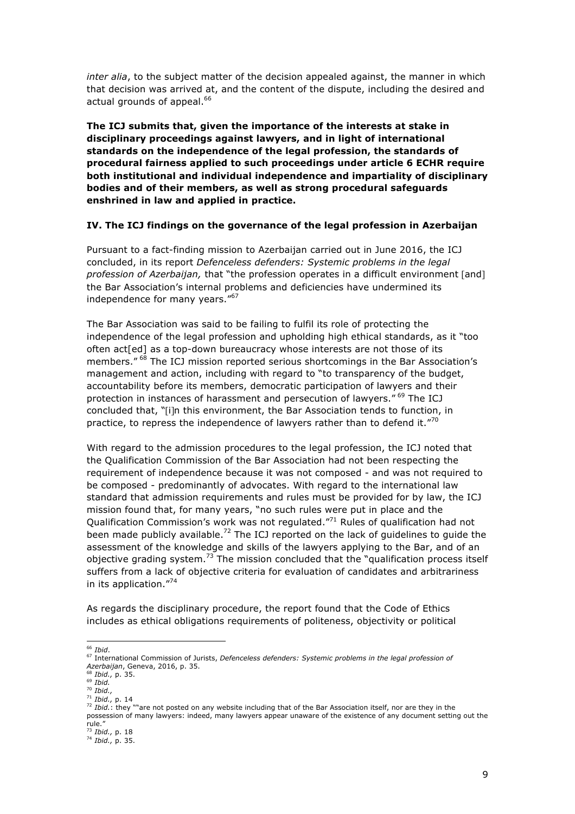*inter alia*, to the subject matter of the decision appealed against, the manner in which that decision was arrived at, and the content of the dispute, including the desired and actual grounds of appeal.<sup>66</sup>

**The ICJ submits that, given the importance of the interests at stake in disciplinary proceedings against lawyers, and in light of international standards on the independence of the legal profession, the standards of procedural fairness applied to such proceedings under article 6 ECHR require both institutional and individual independence and impartiality of disciplinary bodies and of their members, as well as strong procedural safeguards enshrined in law and applied in practice.** 

#### **IV. The ICJ findings on the governance of the legal profession in Azerbaijan**

Pursuant to a fact-finding mission to Azerbaijan carried out in June 2016, the ICJ concluded, in its report *Defenceless defenders: Systemic problems in the legal profession of Azerbaijan,* that "the profession operates in a difficult environment [and] the Bar Association's internal problems and deficiencies have undermined its independence for many years."<sup>67</sup>

The Bar Association was said to be failing to fulfil its role of protecting the independence of the legal profession and upholding high ethical standards, as it "too often act<sup>[ed]</sup> as a top-down bureaucracy whose interests are not those of its members." <sup>68</sup> The ICJ mission reported serious shortcomings in the Bar Association's management and action, including with regard to "to transparency of the budget, accountability before its members, democratic participation of lawyers and their protection in instances of harassment and persecution of lawyers." <sup>69</sup> The ICJ concluded that, "[i]n this environment, the Bar Association tends to function, in practice, to repress the independence of lawyers rather than to defend it."70

With regard to the admission procedures to the legal profession, the ICJ noted that the Qualification Commission of the Bar Association had not been respecting the requirement of independence because it was not composed - and was not required to be composed - predominantly of advocates. With regard to the international law standard that admission requirements and rules must be provided for by law, the ICJ mission found that, for many years, "no such rules were put in place and the Qualification Commission's work was not regulated."<sup>71</sup> Rules of qualification had not been made publicly available.<sup>72</sup> The ICJ reported on the lack of quidelines to quide the assessment of the knowledge and skills of the lawyers applying to the Bar, and of an objective grading system.<sup>73</sup> The mission concluded that the "qualification process itself suffers from a lack of objective criteria for evaluation of candidates and arbitrariness in its application."<sup>74</sup>

As regards the disciplinary procedure, the report found that the Code of Ethics includes as ethical obligations requirements of politeness, objectivity or political

 <sup>66</sup> *Ibid*.

<sup>67</sup> International Commission of Jurists, *Defenceless defenders: Systemic problems in the legal profession of Azerbaijan*, Geneva, 2016, p. 35.

<sup>68</sup> *Ibid.,* p. 35. <sup>69</sup> *Ibid.*

<sup>70</sup> *Ibid.,* <sup>71</sup> *Ibid.,* p. 14

<sup>72</sup> *Ibid.*: they ""are not posted on any website including that of the Bar Association itself, nor are they in the possession of many lawyers: indeed, many lawyers appear unaware of the existence of any document setting out the rule." <sup>73</sup> *Ibid.,* p. 18

<sup>74</sup> *Ibid.,* p. 35.